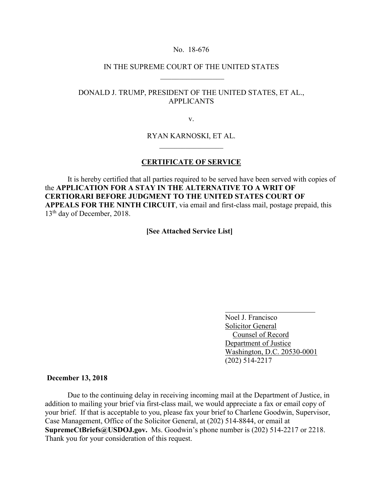### No. 18-676

# IN THE SUPREME COURT OF THE UNITED STATES  $\frac{1}{2}$  ,  $\frac{1}{2}$  ,  $\frac{1}{2}$  ,  $\frac{1}{2}$  ,  $\frac{1}{2}$  ,  $\frac{1}{2}$  ,  $\frac{1}{2}$  ,  $\frac{1}{2}$  ,  $\frac{1}{2}$

# DONALD J. TRUMP, PRESIDENT OF THE UNITED STATES, ET AL., APPLICANTS

v.

## RYAN KARNOSKI, ET AL.  $\overline{\phantom{a}}$  , where  $\overline{\phantom{a}}$  , where  $\overline{\phantom{a}}$

## **CERTIFICATE OF SERVICE**

It is hereby certified that all parties required to be served have been served with copies of the **APPLICATION FOR A STAY IN THE ALTERNATIVE TO A WRIT OF CERTIORARI BEFORE JUDGMENT TO THE UNITED STATES COURT OF APPEALS FOR THE NINTH CIRCUIT**, via email and first-class mail, postage prepaid, this 13<sup>th</sup> day of December, 2018.

**[See Attached Service List]**

 Noel J. Francisco Solicitor General Counsel of Record Department of Justice Washington, D.C. 20530-0001 (202) 514-2217

#### **December 13, 2018**

Due to the continuing delay in receiving incoming mail at the Department of Justice, in addition to mailing your brief via first-class mail, we would appreciate a fax or email copy of your brief. If that is acceptable to you, please fax your brief to Charlene Goodwin, Supervisor, Case Management, Office of the Solicitor General, at (202) 514-8844, or email at **SupremeCtBriefs@USDOJ.gov.** Ms. Goodwin's phone number is (202) 514-2217 or 2218. Thank you for your consideration of this request.